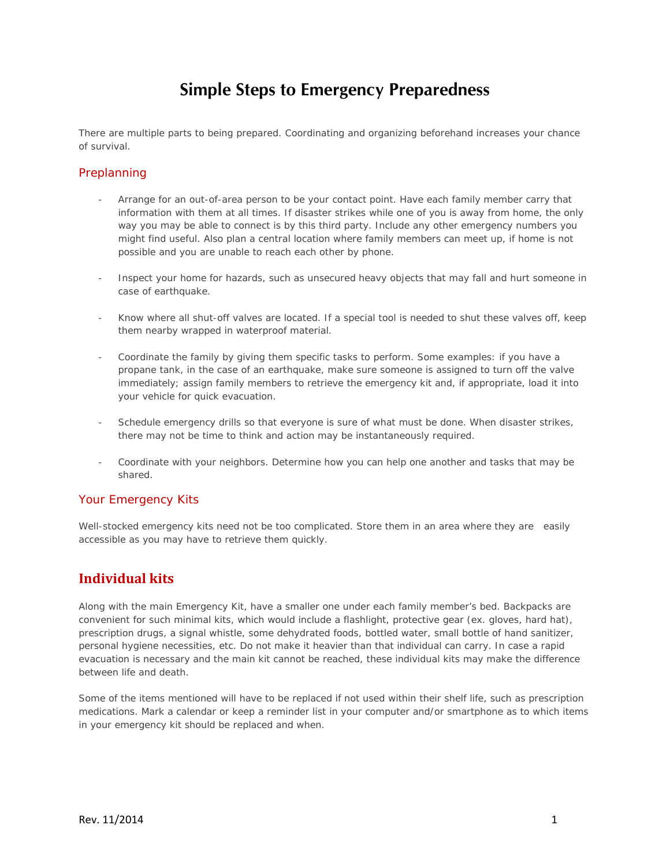# **Simple Steps to Emergency Preparedness**

There are multiple parts to being prepared. Coordinating and organizing beforehand increases your chance of survival.

#### Preplanning

- Arrange for an out-of-area person to be your contact point. Have each family member carry that information with them at all times. If disaster strikes while one of you is away from home, the only way you may be able to connect is by this third party. Include any other emergency numbers you might find useful. Also plan a central location where family members can meet up, if home is not possible and you are unable to reach each other by phone.
- Inspect your home for hazards, such as unsecured heavy objects that may fall and hurt someone in case of earthquake.
- Know where all shut-off valves are located. If a special tool is needed to shut these valves off, keep them nearby wrapped in waterproof material.
- Coordinate the family by giving them specific tasks to perform. Some examples: if you have a propane tank, in the case of an earthquake, make sure someone is assigned to turn off the valve immediately; assign family members to retrieve the emergency kit and, if appropriate, load it into your vehicle for quick evacuation.
- Schedule emergency drills so that everyone is sure of what must be done. When disaster strikes, there may not be time to think and action may be instantaneously required.
- Coordinate with your neighbors. Determine how you can help one another and tasks that may be shared.

#### Your Emergency Kits

Well-stocked emergency kits need not be too complicated. Store them in an area where they are easily accessible as you may have to retrieve them quickly.

### **Individual kits**

Along with the main Emergency Kit, have a smaller one under each family member's bed. Backpacks are convenient for such minimal kits, which would include a flashlight, protective gear (ex. gloves, hard hat), prescription drugs, a signal whistle, some dehydrated foods, bottled water, small bottle of hand sanitizer, personal hygiene necessities, etc. Do not make it heavier than that individual can carry. In case a rapid evacuation is necessary and the main kit cannot be reached, these individual kits may make the difference between life and death.

Some of the items mentioned will have to be replaced if not used within their shelf life, such as prescription medications. Mark a calendar or keep a reminder list in your computer and/or smartphone as to which items in your emergency kit should be replaced and when.